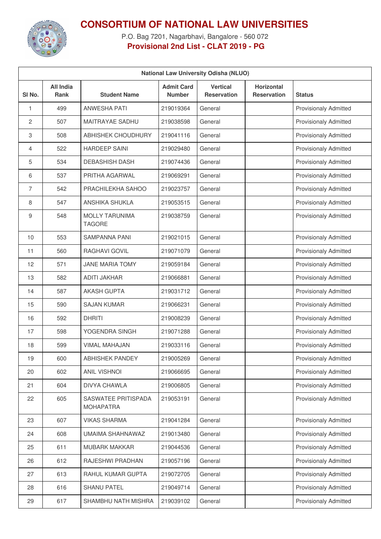

**CONSORTIUM OF NATIONAL LAW UNIVERSITIES**

P.O. Bag 7201, Nagarbhavi, Bangalore - 560 072 **Provisional 2nd List - CLAT 2019 - PG**

| <b>National Law University Odisha (NLUO)</b> |                                 |                                         |                                    |                                       |                                         |                              |
|----------------------------------------------|---------------------------------|-----------------------------------------|------------------------------------|---------------------------------------|-----------------------------------------|------------------------------|
| SI No.                                       | <b>All India</b><br><b>Rank</b> | <b>Student Name</b>                     | <b>Admit Card</b><br><b>Number</b> | <b>Vertical</b><br><b>Reservation</b> | <b>Horizontal</b><br><b>Reservation</b> | <b>Status</b>                |
| 1                                            | 499                             | <b>ANWESHA PATI</b>                     | 219019364                          | General                               |                                         | <b>Provisionaly Admitted</b> |
| 2                                            | 507                             | <b>MAITRAYAE SADHU</b>                  | 219038598                          | General                               |                                         | <b>Provisionaly Admitted</b> |
| 3                                            | 508                             | <b>ABHISHEK CHOUDHURY</b>               | 219041116                          | General                               |                                         | <b>Provisionaly Admitted</b> |
| 4                                            | 522                             | <b>HARDEEP SAINI</b>                    | 219029480                          | General                               |                                         | <b>Provisionaly Admitted</b> |
| 5                                            | 534                             | <b>DEBASHISH DASH</b>                   | 219074436                          | General                               |                                         | <b>Provisionaly Admitted</b> |
| 6                                            | 537                             | PRITHA AGARWAL                          | 219069291                          | General                               |                                         | <b>Provisionaly Admitted</b> |
| 7                                            | 542                             | PRACHILEKHA SAHOO                       | 219023757                          | General                               |                                         | <b>Provisionaly Admitted</b> |
| 8                                            | 547                             | ANSHIKA SHUKLA                          | 219053515                          | General                               |                                         | <b>Provisionaly Admitted</b> |
| 9                                            | 548                             | MOLLY TARUNIMA<br><b>TAGORE</b>         | 219038759                          | General                               |                                         | <b>Provisionaly Admitted</b> |
| 10                                           | 553                             | <b>SAMPANNA PANI</b>                    | 219021015                          | General                               |                                         | <b>Provisionaly Admitted</b> |
| 11                                           | 560                             | RAGHAVI GOVIL                           | 219071079                          | General                               |                                         | <b>Provisionaly Admitted</b> |
| 12                                           | 571                             | <b>JANE MARIA TOMY</b>                  | 219059184                          | General                               |                                         | <b>Provisionaly Admitted</b> |
| 13                                           | 582                             | <b>ADITI JAKHAR</b>                     | 219066881                          | General                               |                                         | <b>Provisionaly Admitted</b> |
| 14                                           | 587                             | <b>AKASH GUPTA</b>                      | 219031712                          | General                               |                                         | <b>Provisionaly Admitted</b> |
| 15                                           | 590                             | <b>SAJAN KUMAR</b>                      | 219066231                          | General                               |                                         | <b>Provisionaly Admitted</b> |
| 16                                           | 592                             | <b>DHRITI</b>                           | 219008239                          | General                               |                                         | <b>Provisionaly Admitted</b> |
| 17                                           | 598                             | YOGENDRA SINGH                          | 219071288                          | General                               |                                         | <b>Provisionaly Admitted</b> |
| 18                                           | 599                             | <b>VIMAL MAHAJAN</b>                    | 219033116                          | General                               |                                         | <b>Provisionaly Admitted</b> |
| 19                                           | 600                             | <b>ABHISHEK PANDEY</b>                  | 219005269                          | General                               |                                         | <b>Provisionaly Admitted</b> |
| 20                                           | 602                             | <b>ANIL VISHNOI</b>                     | 219066695                          | General                               |                                         | <b>Provisionaly Admitted</b> |
| 21                                           | 604                             | <b>DIVYA CHAWLA</b>                     | 219006805                          | General                               |                                         | <b>Provisionaly Admitted</b> |
| 22                                           | 605                             | SASWATEE PRITISPADA<br><b>MOHAPATRA</b> | 219053191                          | General                               |                                         | <b>Provisionaly Admitted</b> |
| 23                                           | 607                             | <b>VIKAS SHARMA</b>                     | 219041284                          | General                               |                                         | Provisionaly Admitted        |
| 24                                           | 608                             | UMAIMA SHAHNAWAZ                        | 219013480                          | General                               |                                         | <b>Provisionaly Admitted</b> |
| 25                                           | 611                             | <b>MUBARK MAKKAR</b>                    | 219044536                          | General                               |                                         | Provisionaly Admitted        |
| 26                                           | 612                             | RAJESHWI PRADHAN                        | 219057196                          | General                               |                                         | <b>Provisionaly Admitted</b> |
| 27                                           | 613                             | RAHUL KUMAR GUPTA                       | 219072705                          | General                               |                                         | Provisionaly Admitted        |
| 28                                           | 616                             | <b>SHANU PATEL</b>                      | 219049714                          | General                               |                                         | Provisionaly Admitted        |
| 29                                           | 617                             | SHAMBHU NATH MISHRA                     | 219039102                          | General                               |                                         | Provisionaly Admitted        |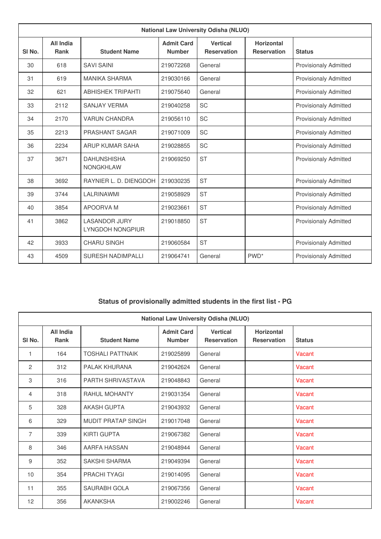| <b>National Law University Odisha (NLUO)</b> |                                 |                                                 |                                    |                                       |                                         |                              |  |
|----------------------------------------------|---------------------------------|-------------------------------------------------|------------------------------------|---------------------------------------|-----------------------------------------|------------------------------|--|
| SI <sub>No.</sub>                            | <b>All India</b><br><b>Rank</b> | <b>Student Name</b>                             | <b>Admit Card</b><br><b>Number</b> | <b>Vertical</b><br><b>Reservation</b> | <b>Horizontal</b><br><b>Reservation</b> | <b>Status</b>                |  |
| 30                                           | 618                             | <b>SAVI SAINI</b>                               | 219072268                          | General                               |                                         | <b>Provisionaly Admitted</b> |  |
| 31                                           | 619                             | <b>MANIKA SHARMA</b>                            | 219030166                          | General                               |                                         | <b>Provisionaly Admitted</b> |  |
| 32                                           | 621                             | <b>ABHISHEK TRIPAHTI</b>                        | 219075640                          | General                               |                                         | <b>Provisionaly Admitted</b> |  |
| 33                                           | 2112                            | <b>SANJAY VERMA</b>                             | 219040258                          | <b>SC</b>                             |                                         | <b>Provisionaly Admitted</b> |  |
| 34                                           | 2170                            | <b>VARUN CHANDRA</b>                            | 219056110                          | <b>SC</b>                             |                                         | <b>Provisionaly Admitted</b> |  |
| 35                                           | 2213                            | PRASHANT SAGAR                                  | 219071009                          | SC                                    |                                         | <b>Provisionaly Admitted</b> |  |
| 36                                           | 2234                            | ARUP KUMAR SAHA                                 | 219028855                          | SC                                    |                                         | <b>Provisionaly Admitted</b> |  |
| 37                                           | 3671                            | <b>DAHUNSHISHA</b><br><b>NONGKHLAW</b>          | 219069250                          | <b>ST</b>                             |                                         | <b>Provisionaly Admitted</b> |  |
| 38                                           | 3692                            | RAYNIER L. D. DIENGDOH                          | 219030235                          | <b>ST</b>                             |                                         | <b>Provisionaly Admitted</b> |  |
| 39                                           | 3744                            | LALRINAWMI                                      | 219058929                          | <b>ST</b>                             |                                         | <b>Provisionaly Admitted</b> |  |
| 40                                           | 3854                            | APOORVA M                                       | 219023661                          | <b>ST</b>                             |                                         | <b>Provisionaly Admitted</b> |  |
| 41                                           | 3862                            | <b>LASANDOR JURY</b><br><b>LYNGDOH NONGPIUR</b> | 219018850                          | <b>ST</b>                             |                                         | <b>Provisionaly Admitted</b> |  |
| 42                                           | 3933                            | <b>CHARU SINGH</b>                              | 219060584                          | <b>ST</b>                             |                                         | <b>Provisionaly Admitted</b> |  |
| 43                                           | 4509                            | <b>SURESH NADIMPALLI</b>                        | 219064741                          | General                               | PWD <sup>*</sup>                        | <b>Provisionaly Admitted</b> |  |

## **Status of provisionally admitted students in the first list - PG**

| <b>National Law University Odisha (NLUO)</b> |                          |                           |                                    |                                       |                                         |               |  |
|----------------------------------------------|--------------------------|---------------------------|------------------------------------|---------------------------------------|-----------------------------------------|---------------|--|
| SI <sub>No.</sub>                            | <b>All India</b><br>Rank | <b>Student Name</b>       | <b>Admit Card</b><br><b>Number</b> | <b>Vertical</b><br><b>Reservation</b> | <b>Horizontal</b><br><b>Reservation</b> | <b>Status</b> |  |
| 1                                            | 164                      | <b>TOSHALI PATTNAIK</b>   | 219025899                          | General                               |                                         | Vacant        |  |
| 2                                            | 312                      | PALAK KHURANA             | 219042624                          | General                               |                                         | Vacant        |  |
| 3                                            | 316                      | PARTH SHRIVASTAVA         | 219048843                          | General                               |                                         | Vacant        |  |
| $\overline{4}$                               | 318                      | <b>RAHUL MOHANTY</b>      | 219031354                          | General                               |                                         | Vacant        |  |
| 5                                            | 328                      | <b>AKASH GUPTA</b>        | 219043932                          | General                               |                                         | Vacant        |  |
| 6                                            | 329                      | <b>MUDIT PRATAP SINGH</b> | 219017048                          | General                               |                                         | Vacant        |  |
| $\overline{7}$                               | 339                      | <b>KIRTI GUPTA</b>        | 219067382                          | General                               |                                         | Vacant        |  |
| 8                                            | 346                      | AARFA HASSAN              | 219048944                          | General                               |                                         | Vacant        |  |
| 9                                            | 352                      | <b>SAKSHI SHARMA</b>      | 219049394                          | General                               |                                         | Vacant        |  |
| 10                                           | 354                      | PRACHI TYAGI              | 219014095                          | General                               |                                         | Vacant        |  |
| 11                                           | 355                      | SAURABH GOLA              | 219067356                          | General                               |                                         | Vacant        |  |
| 12                                           | 356                      | <b>AKANKSHA</b>           | 219002246                          | General                               |                                         | Vacant        |  |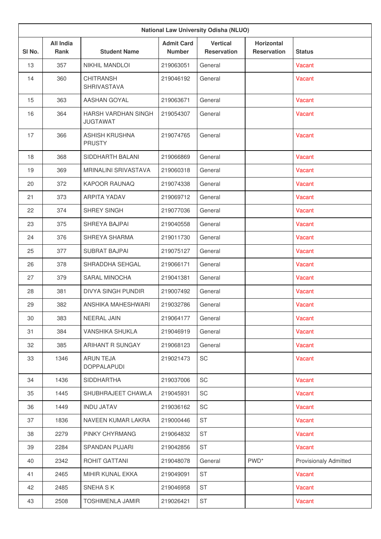| <b>National Law University Odisha (NLUO)</b> |                          |                                        |                                    |                                |                                         |                              |
|----------------------------------------------|--------------------------|----------------------------------------|------------------------------------|--------------------------------|-----------------------------------------|------------------------------|
| SI No.                                       | <b>All India</b><br>Rank | <b>Student Name</b>                    | <b>Admit Card</b><br><b>Number</b> | <b>Vertical</b><br>Reservation | <b>Horizontal</b><br><b>Reservation</b> | <b>Status</b>                |
| 13                                           | 357                      | <b>NIKHIL MANDLOI</b>                  | 219063051                          | General                        |                                         | Vacant                       |
| 14                                           | 360                      | <b>CHITRANSH</b><br>SHRIVASTAVA        | 219046192                          | General                        |                                         | Vacant                       |
| 15                                           | 363                      | AASHAN GOYAL                           | 219063671                          | General                        |                                         | Vacant                       |
| 16                                           | 364                      | HARSH VARDHAN SINGH<br><b>JUGTAWAT</b> | 219054307                          | General                        |                                         | Vacant                       |
| 17                                           | 366                      | <b>ASHISH KRUSHNA</b><br><b>PRUSTY</b> | 219074765                          | General                        |                                         | Vacant                       |
| 18                                           | 368                      | SIDDHARTH BALANI                       | 219066869                          | General                        |                                         | Vacant                       |
| 19                                           | 369                      | <b>MRINALINI SRIVASTAVA</b>            | 219060318                          | General                        |                                         | Vacant                       |
| 20                                           | 372                      | KAPOOR RAUNAQ                          | 219074338                          | General                        |                                         | Vacant                       |
| 21                                           | 373                      | <b>ARPITA YADAV</b>                    | 219069712                          | General                        |                                         | Vacant                       |
| 22                                           | 374                      | SHREY SINGH                            | 219077036                          | General                        |                                         | Vacant                       |
| 23                                           | 375                      | SHREYA BAJPAI                          | 219040558                          | General                        |                                         | Vacant                       |
| 24                                           | 376                      | SHREYA SHARMA                          | 219011730                          | General                        |                                         | Vacant                       |
| 25                                           | 377                      | <b>SUBRAT BAJPAI</b>                   | 219075127                          | General                        |                                         | Vacant                       |
| 26                                           | 378                      | SHRADDHA SEHGAL                        | 219066171                          | General                        |                                         | Vacant                       |
| 27                                           | 379                      | SARAL MINOCHA                          | 219041381                          | General                        |                                         | <b>Vacant</b>                |
| 28                                           | 381                      | <b>DIVYA SINGH PUNDIR</b>              | 219007492                          | General                        |                                         | Vacant                       |
| 29                                           | 382                      | ANSHIKA MAHESHWARI                     | 219032786                          | General                        |                                         | Vacant                       |
| 30                                           | 383                      | NEERAL JAIN                            | 219064177                          | General                        |                                         | Vacant                       |
| 31                                           | 384                      | VANSHIKA SHUKLA                        | 219046919                          | General                        |                                         | Vacant                       |
| 32                                           | 385                      | ARIHANT R SUNGAY                       | 219068123                          | General                        |                                         | Vacant                       |
| 33                                           | 1346                     | <b>ARUN TEJA</b><br><b>DOPPALAPUDI</b> | 219021473                          | SC                             |                                         | Vacant                       |
| 34                                           | 1436                     | <b>SIDDHARTHA</b>                      | 219037006                          | SC                             |                                         | Vacant                       |
| 35                                           | 1445                     | SHUBHRAJEET CHAWLA                     | 219045931                          | SC                             |                                         | Vacant                       |
| 36                                           | 1449                     | <b>INDU JATAV</b>                      | 219036162                          | SC                             |                                         | Vacant                       |
| 37                                           | 1836                     | NAVEEN KUMAR LAKRA                     | 219000446                          | <b>ST</b>                      |                                         | Vacant                       |
| 38                                           | 2279                     | PINKY CHYRMANG                         | 219064832                          | <b>ST</b>                      |                                         | Vacant                       |
| 39                                           | 2284                     | SPANDAN PUJARI                         | 219042856                          | <b>ST</b>                      |                                         | Vacant                       |
| 40                                           | 2342                     | ROHIT GATTANI                          | 219048078                          | General                        | PWD <sup>*</sup>                        | <b>Provisionaly Admitted</b> |
| 41                                           | 2465                     | MIHIR KUNAL EKKA                       | 219049091                          | <b>ST</b>                      |                                         | Vacant                       |
| 42                                           | 2485                     | SNEHA SK                               | 219046958                          | <b>ST</b>                      |                                         | Vacant                       |
| 43                                           | 2508                     | <b>TOSHIMENLA JAMIR</b>                | 219026421                          | <b>ST</b>                      |                                         | Vacant                       |